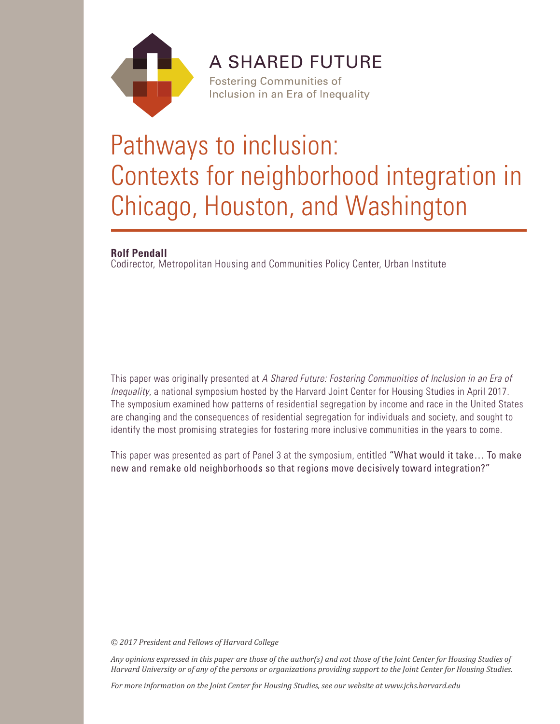

## **A SHARED FUTURE**

**Fostering Communities of** Inclusion in an Era of Inequality

# Pathways to inclusion: Contexts for neighborhood integration in Chicago, Houston, and Washington

## **Rolf Pendall**

Codirector, Metropolitan Housing and Communities Policy Center, Urban Institute

This paper was originally presented at *A Shared Future: Fostering Communities of Inclusion in an Era of Inequality*, a national symposium hosted by the Harvard Joint Center for Housing Studies in April 2017. The symposium examined how patterns of residential segregation by income and race in the United States are changing and the consequences of residential segregation for individuals and society, and sought to identify the most promising strategies for fostering more inclusive communities in the years to come.

This paper was presented as part of Panel 3 at the symposium, entitled "What would it take… To make new and remake old neighborhoods so that regions move decisively toward integration?"

*© 2017 President and Fellows of Harvard College*

*Any opinions expressed in this paper are those of the author(s) and not those of the Joint Center for Housing Studies of Harvard University or of any of the persons or organizations providing support to the Joint Center for Housing Studies.* 

*For more information on the Joint Center for Housing Studies, see our website at www.jchs.harvard.edu*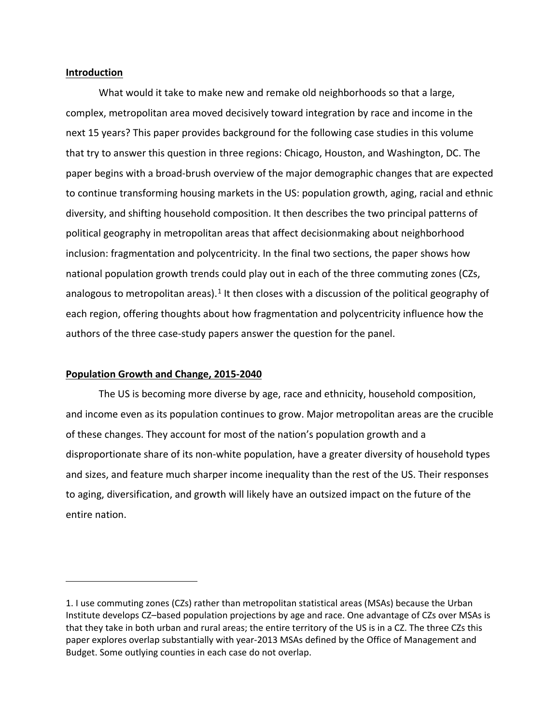#### **Introduction**

What would it take to make new and remake old neighborhoods so that a large, complex, metropolitan area moved decisively toward integration by race and income in the next 15 years? This paper provides background for the following case studies in this volume that try to answer this question in three regions: Chicago, Houston, and Washington, DC. The paper begins with a broad-brush overview of the major demographic changes that are expected to continue transforming housing markets in the US: population growth, aging, racial and ethnic diversity, and shifting household composition. It then describes the two principal patterns of political geography in metropolitan areas that affect decisionmaking about neighborhood inclusion: fragmentation and polycentricity. In the final two sections, the paper shows how national population growth trends could play out in each of the three commuting zones (CZs, analogous to metropolitan areas).<sup>[1](#page-2-0)</sup> It then closes with a discussion of the political geography of each region, offering thoughts about how fragmentation and polycentricity influence how the authors of the three case-study papers answer the question for the panel.

#### **Population Growth and Change, 2015-2040**

The US is becoming more diverse by age, race and ethnicity, household composition, and income even as its population continues to grow. Major metropolitan areas are the crucible of these changes. They account for most of the nation's population growth and a disproportionate share of its non-white population, have a greater diversity of household types and sizes, and feature much sharper income inequality than the rest of the US. Their responses to aging, diversification, and growth will likely have an outsized impact on the future of the entire nation.

<span id="page-2-0"></span><sup>1.</sup> I use commuting zones (CZs) rather than metropolitan statistical areas (MSAs) because the Urban Institute develops CZ–based population projections by age and race. One advantage of CZs over MSAs is that they take in both urban and rural areas; the entire territory of the US is in a CZ. The three CZs this paper explores overlap substantially with year-2013 MSAs defined by the Office of Management and Budget. Some outlying counties in each case do not overlap.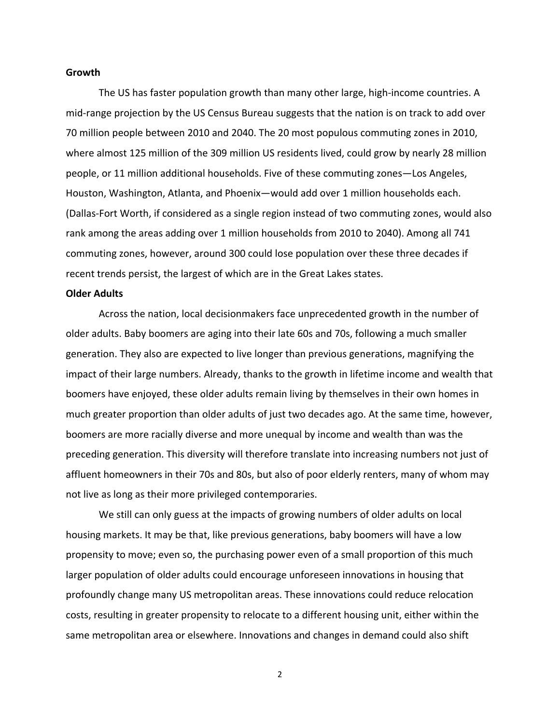#### **Growth**

The US has faster population growth than many other large, high-income countries. A mid-range projection by the US Census Bureau suggests that the nation is on track to add over 70 million people between 2010 and 2040. The 20 most populous commuting zones in 2010, where almost 125 million of the 309 million US residents lived, could grow by nearly 28 million people, or 11 million additional households. Five of these commuting zones—Los Angeles, Houston, Washington, Atlanta, and Phoenix—would add over 1 million households each. (Dallas-Fort Worth, if considered as a single region instead of two commuting zones, would also rank among the areas adding over 1 million households from 2010 to 2040). Among all 741 commuting zones, however, around 300 could lose population over these three decades if recent trends persist, the largest of which are in the Great Lakes states.

#### **Older Adults**

Across the nation, local decisionmakers face unprecedented growth in the number of older adults. Baby boomers are aging into their late 60s and 70s, following a much smaller generation. They also are expected to live longer than previous generations, magnifying the impact of their large numbers. Already, thanks to the growth in lifetime income and wealth that boomers have enjoyed, these older adults remain living by themselves in their own homes in much greater proportion than older adults of just two decades ago. At the same time, however, boomers are more racially diverse and more unequal by income and wealth than was the preceding generation. This diversity will therefore translate into increasing numbers not just of affluent homeowners in their 70s and 80s, but also of poor elderly renters, many of whom may not live as long as their more privileged contemporaries.

We still can only guess at the impacts of growing numbers of older adults on local housing markets. It may be that, like previous generations, baby boomers will have a low propensity to move; even so, the purchasing power even of a small proportion of this much larger population of older adults could encourage unforeseen innovations in housing that profoundly change many US metropolitan areas. These innovations could reduce relocation costs, resulting in greater propensity to relocate to a different housing unit, either within the same metropolitan area or elsewhere. Innovations and changes in demand could also shift

2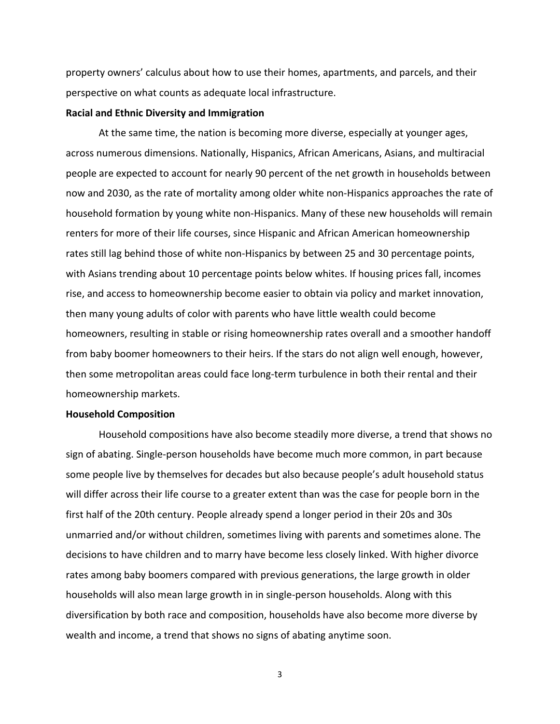property owners' calculus about how to use their homes, apartments, and parcels, and their perspective on what counts as adequate local infrastructure.

#### **Racial and Ethnic Diversity and Immigration**

At the same time, the nation is becoming more diverse, especially at younger ages, across numerous dimensions. Nationally, Hispanics, African Americans, Asians, and multiracial people are expected to account for nearly 90 percent of the net growth in households between now and 2030, as the rate of mortality among older white non-Hispanics approaches the rate of household formation by young white non-Hispanics. Many of these new households will remain renters for more of their life courses, since Hispanic and African American homeownership rates still lag behind those of white non-Hispanics by between 25 and 30 percentage points, with Asians trending about 10 percentage points below whites. If housing prices fall, incomes rise, and access to homeownership become easier to obtain via policy and market innovation, then many young adults of color with parents who have little wealth could become homeowners, resulting in stable or rising homeownership rates overall and a smoother handoff from baby boomer homeowners to their heirs. If the stars do not align well enough, however, then some metropolitan areas could face long-term turbulence in both their rental and their homeownership markets.

#### **Household Composition**

Household compositions have also become steadily more diverse, a trend that shows no sign of abating. Single-person households have become much more common, in part because some people live by themselves for decades but also because people's adult household status will differ across their life course to a greater extent than was the case for people born in the first half of the 20th century. People already spend a longer period in their 20s and 30s unmarried and/or without children, sometimes living with parents and sometimes alone. The decisions to have children and to marry have become less closely linked. With higher divorce rates among baby boomers compared with previous generations, the large growth in older households will also mean large growth in in single-person households. Along with this diversification by both race and composition, households have also become more diverse by wealth and income, a trend that shows no signs of abating anytime soon.

3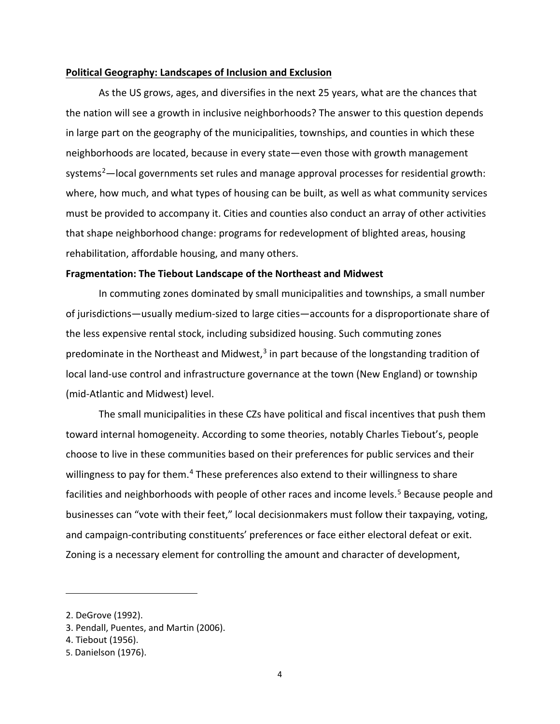#### **Political Geography: Landscapes of Inclusion and Exclusion**

As the US grows, ages, and diversifies in the next 25 years, what are the chances that the nation will see a growth in inclusive neighborhoods? The answer to this question depends in large part on the geography of the municipalities, townships, and counties in which these neighborhoods are located, because in every state—even those with growth management systems<sup>[2](#page-5-0)</sup>—local governments set rules and manage approval processes for residential growth: where, how much, and what types of housing can be built, as well as what community services must be provided to accompany it. Cities and counties also conduct an array of other activities that shape neighborhood change: programs for redevelopment of blighted areas, housing rehabilitation, affordable housing, and many others.

#### **Fragmentation: The Tiebout Landscape of the Northeast and Midwest**

In commuting zones dominated by small municipalities and townships, a small number of jurisdictions—usually medium-sized to large cities—accounts for a disproportionate share of the less expensive rental stock, including subsidized housing. Such commuting zones predominate in the Northeast and Midwest, $3$  in part because of the longstanding tradition of local land-use control and infrastructure governance at the town (New England) or township (mid-Atlantic and Midwest) level.

The small municipalities in these CZs have political and fiscal incentives that push them toward internal homogeneity. According to some theories, notably Charles Tiebout's, people choose to live in these communities based on their preferences for public services and their willingness to pay for them.<sup>[4](#page-5-2)</sup> These preferences also extend to their willingness to share facilities and neighborhoods with people of other races and income levels.<sup>[5](#page-5-3)</sup> Because people and businesses can "vote with their feet," local decisionmakers must follow their taxpaying, voting, and campaign-contributing constituents' preferences or face either electoral defeat or exit. Zoning is a necessary element for controlling the amount and character of development,

<span id="page-5-0"></span><sup>2.</sup> DeGrove (1992).

<span id="page-5-1"></span><sup>3.</sup> Pendall, Puentes, and Martin (2006).

<span id="page-5-2"></span><sup>4.</sup> Tiebout (1956).

<span id="page-5-3"></span><sup>5.</sup> Danielson (1976).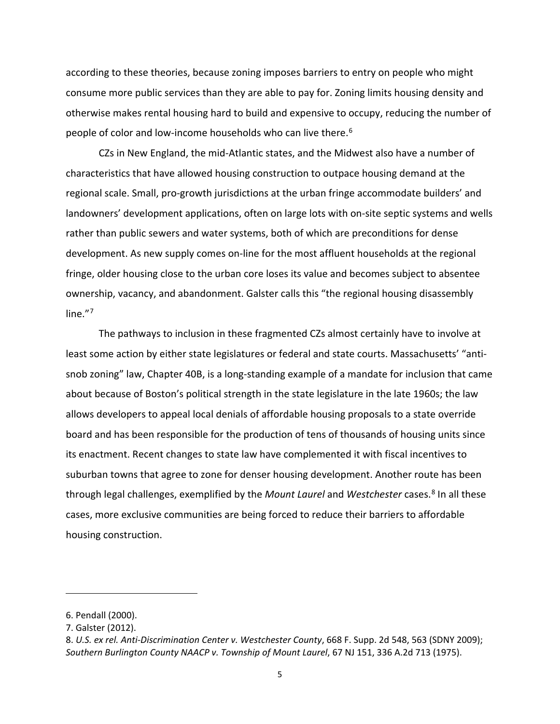according to these theories, because zoning imposes barriers to entry on people who might consume more public services than they are able to pay for. Zoning limits housing density and otherwise makes rental housing hard to build and expensive to occupy, reducing the number of people of color and low-income households who can live there. [6](#page-6-0)

CZs in New England, the mid-Atlantic states, and the Midwest also have a number of characteristics that have allowed housing construction to outpace housing demand at the regional scale. Small, pro-growth jurisdictions at the urban fringe accommodate builders' and landowners' development applications, often on large lots with on-site septic systems and wells rather than public sewers and water systems, both of which are preconditions for dense development. As new supply comes on-line for the most affluent households at the regional fringe, older housing close to the urban core loses its value and becomes subject to absentee ownership, vacancy, and abandonment. Galster calls this "the regional housing disassembly line."[7](#page-6-1)

The pathways to inclusion in these fragmented CZs almost certainly have to involve at least some action by either state legislatures or federal and state courts. Massachusetts' "antisnob zoning" law, Chapter 40B, is a long-standing example of a mandate for inclusion that came about because of Boston's political strength in the state legislature in the late 1960s; the law allows developers to appeal local denials of affordable housing proposals to a state override board and has been responsible for the production of tens of thousands of housing units since its enactment. Recent changes to state law have complemented it with fiscal incentives to suburban towns that agree to zone for denser housing development. Another route has been through legal challenges, exemplified by the *Mount Laurel* and *Westchester* cases.[8](#page-6-2) In all these cases, more exclusive communities are being forced to reduce their barriers to affordable housing construction.

<span id="page-6-0"></span><sup>6.</sup> Pendall (2000).

<span id="page-6-1"></span><sup>7.</sup> Galster (2012).

<span id="page-6-2"></span><sup>8.</sup> *U.S. ex rel. Anti-Discrimination Center v. Westchester County*, 668 F. Supp. 2d 548, 563 (SDNY 2009); *Southern Burlington County NAACP v. Township of Mount Laurel*, 67 NJ 151, 336 A.2d 713 (1975).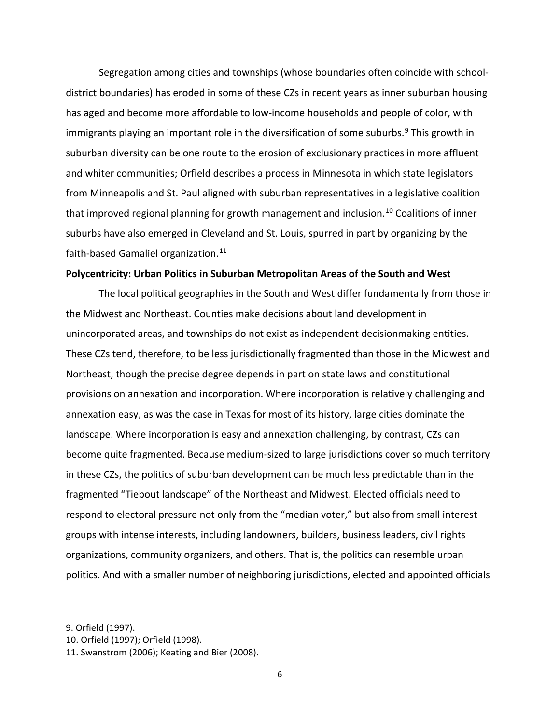Segregation among cities and townships (whose boundaries often coincide with schooldistrict boundaries) has eroded in some of these CZs in recent years as inner suburban housing has aged and become more affordable to low-income households and people of color, with immigrants playing an important role in the diversification of some suburbs. [9](#page-7-0) This growth in suburban diversity can be one route to the erosion of exclusionary practices in more affluent and whiter communities; Orfield describes a process in Minnesota in which state legislators from Minneapolis and St. Paul aligned with suburban representatives in a legislative coalition that improved regional planning for growth management and inclusion.<sup>[10](#page-7-1)</sup> Coalitions of inner suburbs have also emerged in Cleveland and St. Louis, spurred in part by organizing by the faith-based Gamaliel organization.<sup>11</sup>

#### **Polycentricity: Urban Politics in Suburban Metropolitan Areas of the South and West**

The local political geographies in the South and West differ fundamentally from those in the Midwest and Northeast. Counties make decisions about land development in unincorporated areas, and townships do not exist as independent decisionmaking entities. These CZs tend, therefore, to be less jurisdictionally fragmented than those in the Midwest and Northeast, though the precise degree depends in part on state laws and constitutional provisions on annexation and incorporation. Where incorporation is relatively challenging and annexation easy, as was the case in Texas for most of its history, large cities dominate the landscape. Where incorporation is easy and annexation challenging, by contrast, CZs can become quite fragmented. Because medium-sized to large jurisdictions cover so much territory in these CZs, the politics of suburban development can be much less predictable than in the fragmented "Tiebout landscape" of the Northeast and Midwest. Elected officials need to respond to electoral pressure not only from the "median voter," but also from small interest groups with intense interests, including landowners, builders, business leaders, civil rights organizations, community organizers, and others. That is, the politics can resemble urban politics. And with a smaller number of neighboring jurisdictions, elected and appointed officials

<span id="page-7-0"></span><sup>9.</sup> Orfield (1997).

<span id="page-7-1"></span><sup>10.</sup> Orfield (1997); Orfield (1998).

<span id="page-7-2"></span><sup>11.</sup> Swanstrom (2006); Keating and Bier (2008).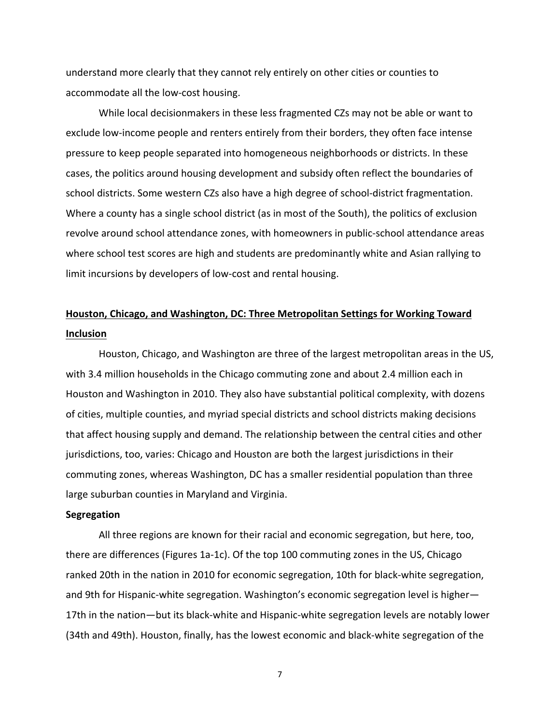understand more clearly that they cannot rely entirely on other cities or counties to accommodate all the low-cost housing.

While local decisionmakers in these less fragmented CZs may not be able or want to exclude low-income people and renters entirely from their borders, they often face intense pressure to keep people separated into homogeneous neighborhoods or districts. In these cases, the politics around housing development and subsidy often reflect the boundaries of school districts. Some western CZs also have a high degree of school-district fragmentation. Where a county has a single school district (as in most of the South), the politics of exclusion revolve around school attendance zones, with homeowners in public-school attendance areas where school test scores are high and students are predominantly white and Asian rallying to limit incursions by developers of low-cost and rental housing.

## **Houston, Chicago, and Washington, DC: Three Metropolitan Settings for Working Toward Inclusion**

Houston, Chicago, and Washington are three of the largest metropolitan areas in the US, with 3.4 million households in the Chicago commuting zone and about 2.4 million each in Houston and Washington in 2010. They also have substantial political complexity, with dozens of cities, multiple counties, and myriad special districts and school districts making decisions that affect housing supply and demand. The relationship between the central cities and other jurisdictions, too, varies: Chicago and Houston are both the largest jurisdictions in their commuting zones, whereas Washington, DC has a smaller residential population than three large suburban counties in Maryland and Virginia.

#### **Segregation**

All three regions are known for their racial and economic segregation, but here, too, there are differences (Figures 1a-1c). Of the top 100 commuting zones in the US, Chicago ranked 20th in the nation in 2010 for economic segregation, 10th for black-white segregation, and 9th for Hispanic-white segregation. Washington's economic segregation level is higher— 17th in the nation—but its black-white and Hispanic-white segregation levels are notably lower (34th and 49th). Houston, finally, has the lowest economic and black-white segregation of the

7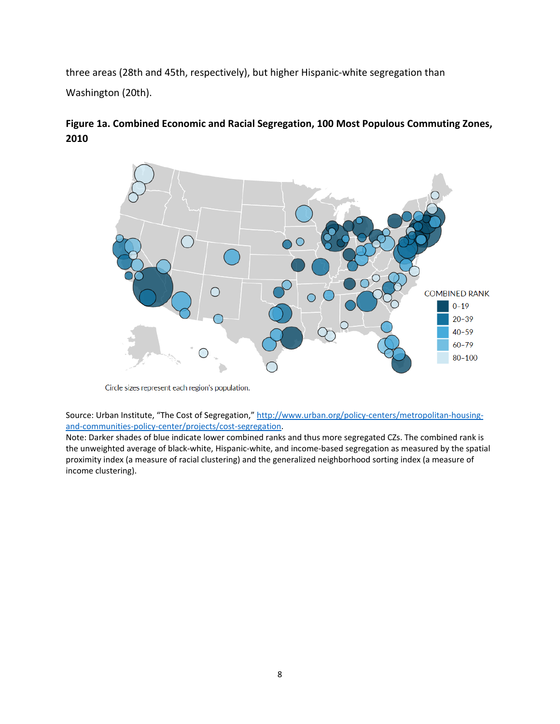three areas (28th and 45th, respectively), but higher Hispanic-white segregation than Washington (20th).

### **Figure 1a. Combined Economic and Racial Segregation, 100 Most Populous Commuting Zones, 2010**



Circle sizes represent each region's population.

Source: Urban Institute, "The Cost of Segregation," [http://www.urban.org/policy-centers/metropolitan-housing](http://www.urban.org/policy-centers/metropolitan-housing-and-communities-policy-center/projects/cost-segregation)[and-communities-policy-center/projects/cost-segregation.](http://www.urban.org/policy-centers/metropolitan-housing-and-communities-policy-center/projects/cost-segregation)

Note: Darker shades of blue indicate lower combined ranks and thus more segregated CZs. The combined rank is the unweighted average of black-white, Hispanic-white, and income-based segregation as measured by the spatial proximity index (a measure of racial clustering) and the generalized neighborhood sorting index (a measure of income clustering).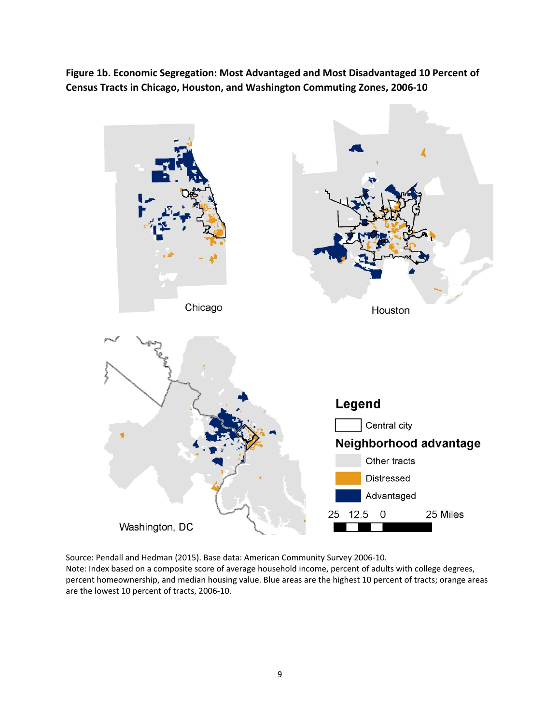**Figure 1b. Economic Segregation: Most Advantaged and Most Disadvantaged 10 Percent of Census Tracts in Chicago, Houston, and Washington Commuting Zones, 2006-10**



Source: Pendall and Hedman (2015). Base data: American Community Survey 2006-10. Note: Index based on a composite score of average household income, percent of adults with college degrees, percent homeownership, and median housing value. Blue areas are the highest 10 percent of tracts; orange areas are the lowest 10 percent of tracts, 2006-10.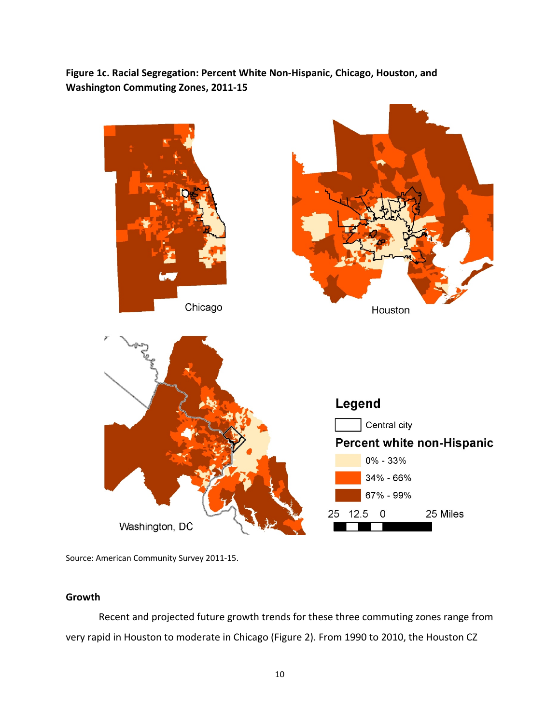**Figure 1c. Racial Segregation: Percent White Non-Hispanic, Chicago, Houston, and Washington Commuting Zones, 2011-15**



Source: American Community Survey 2011-15.

#### **Growth**

Recent and projected future growth trends for these three commuting zones range from very rapid in Houston to moderate in Chicago (Figure 2). From 1990 to 2010, the Houston CZ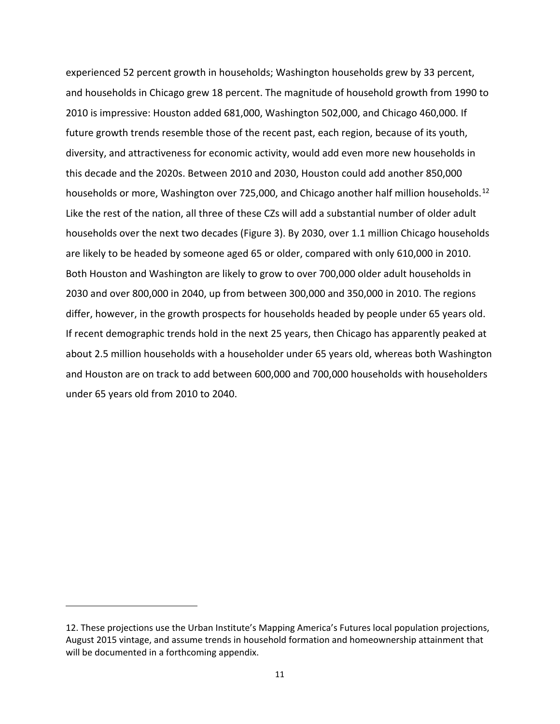experienced 52 percent growth in households; Washington households grew by 33 percent, and households in Chicago grew 18 percent. The magnitude of household growth from 1990 to 2010 is impressive: Houston added 681,000, Washington 502,000, and Chicago 460,000. If future growth trends resemble those of the recent past, each region, because of its youth, diversity, and attractiveness for economic activity, would add even more new households in this decade and the 2020s. Between 2010 and 2030, Houston could add another 850,000 households or more, Washington over 725,000, and Chicago another half million households.<sup>[12](#page-12-0)</sup> Like the rest of the nation, all three of these CZs will add a substantial number of older adult households over the next two decades (Figure 3). By 2030, over 1.1 million Chicago households are likely to be headed by someone aged 65 or older, compared with only 610,000 in 2010. Both Houston and Washington are likely to grow to over 700,000 older adult households in 2030 and over 800,000 in 2040, up from between 300,000 and 350,000 in 2010. The regions differ, however, in the growth prospects for households headed by people under 65 years old. If recent demographic trends hold in the next 25 years, then Chicago has apparently peaked at about 2.5 million households with a householder under 65 years old, whereas both Washington and Houston are on track to add between 600,000 and 700,000 households with householders under 65 years old from 2010 to 2040.

<span id="page-12-0"></span><sup>12.</sup> These projections use the Urban Institute's Mapping America's Futures local population projections, August 2015 vintage, and assume trends in household formation and homeownership attainment that will be documented in a forthcoming appendix.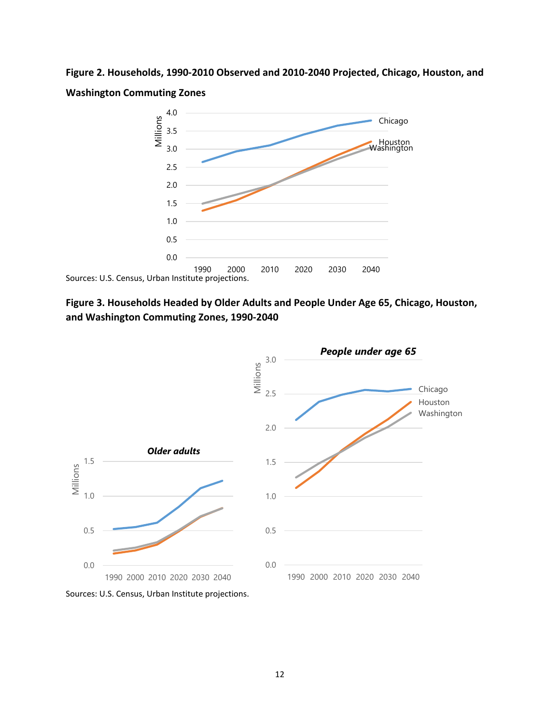**Figure 2. Households, 1990-2010 Observed and 2010-2040 Projected, Chicago, Houston, and Washington Commuting Zones**



**Figure 3. Households Headed by Older Adults and People Under Age 65, Chicago, Houston, and Washington Commuting Zones, 1990-2040**



Sources: U.S. Census, Urban Institute projections.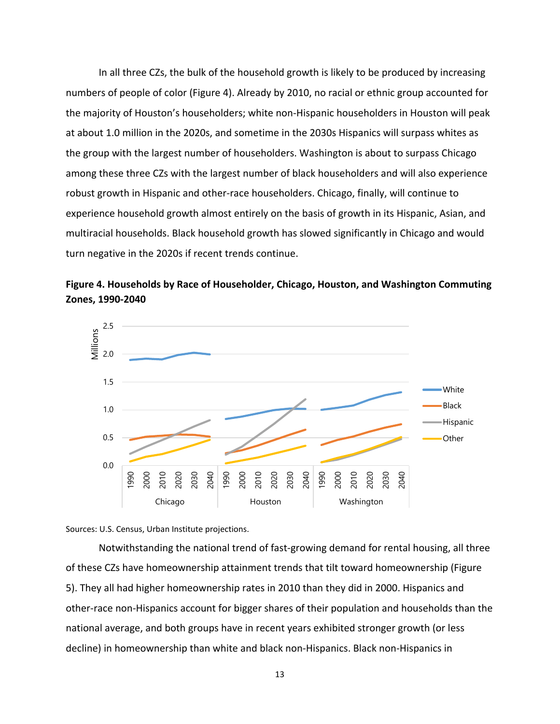In all three CZs, the bulk of the household growth is likely to be produced by increasing numbers of people of color (Figure 4). Already by 2010, no racial or ethnic group accounted for the majority of Houston's householders; white non-Hispanic householders in Houston will peak at about 1.0 million in the 2020s, and sometime in the 2030s Hispanics will surpass whites as the group with the largest number of householders. Washington is about to surpass Chicago among these three CZs with the largest number of black householders and will also experience robust growth in Hispanic and other-race householders. Chicago, finally, will continue to experience household growth almost entirely on the basis of growth in its Hispanic, Asian, and multiracial households. Black household growth has slowed significantly in Chicago and would turn negative in the 2020s if recent trends continue.







Notwithstanding the national trend of fast-growing demand for rental housing, all three of these CZs have homeownership attainment trends that tilt toward homeownership (Figure 5). They all had higher homeownership rates in 2010 than they did in 2000. Hispanics and other-race non-Hispanics account for bigger shares of their population and households than the national average, and both groups have in recent years exhibited stronger growth (or less decline) in homeownership than white and black non-Hispanics. Black non-Hispanics in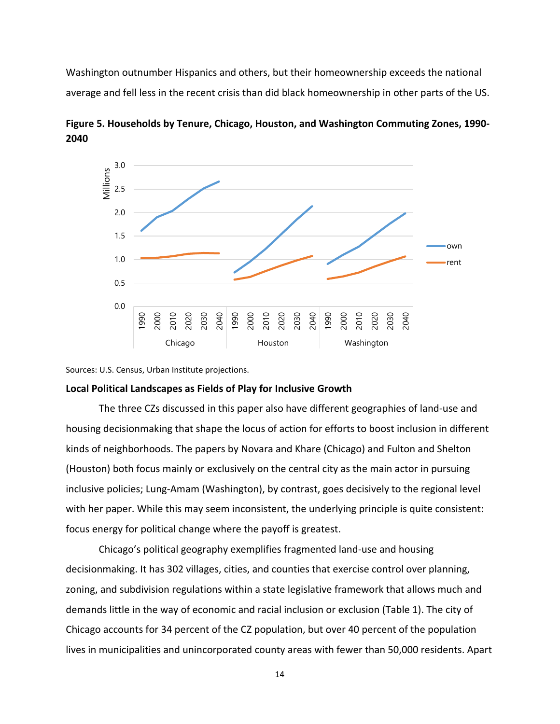Washington outnumber Hispanics and others, but their homeownership exceeds the national average and fell less in the recent crisis than did black homeownership in other parts of the US.



**Figure 5. Households by Tenure, Chicago, Houston, and Washington Commuting Zones, 1990- 2040**

Sources: U.S. Census, Urban Institute projections.

#### **Local Political Landscapes as Fields of Play for Inclusive Growth**

The three CZs discussed in this paper also have different geographies of land-use and housing decisionmaking that shape the locus of action for efforts to boost inclusion in different kinds of neighborhoods. The papers by Novara and Khare (Chicago) and Fulton and Shelton (Houston) both focus mainly or exclusively on the central city as the main actor in pursuing inclusive policies; Lung-Amam (Washington), by contrast, goes decisively to the regional level with her paper. While this may seem inconsistent, the underlying principle is quite consistent: focus energy for political change where the payoff is greatest.

Chicago's political geography exemplifies fragmented land-use and housing decisionmaking. It has 302 villages, cities, and counties that exercise control over planning, zoning, and subdivision regulations within a state legislative framework that allows much and demands little in the way of economic and racial inclusion or exclusion (Table 1). The city of Chicago accounts for 34 percent of the CZ population, but over 40 percent of the population lives in municipalities and unincorporated county areas with fewer than 50,000 residents. Apart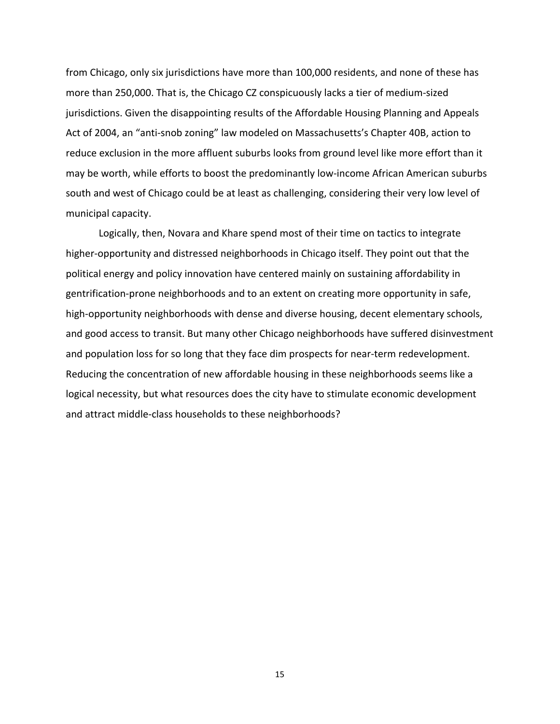from Chicago, only six jurisdictions have more than 100,000 residents, and none of these has more than 250,000. That is, the Chicago CZ conspicuously lacks a tier of medium-sized jurisdictions. Given the disappointing results of the Affordable Housing Planning and Appeals Act of 2004, an "anti-snob zoning" law modeled on Massachusetts's Chapter 40B, action to reduce exclusion in the more affluent suburbs looks from ground level like more effort than it may be worth, while efforts to boost the predominantly low-income African American suburbs south and west of Chicago could be at least as challenging, considering their very low level of municipal capacity.

Logically, then, Novara and Khare spend most of their time on tactics to integrate higher-opportunity and distressed neighborhoods in Chicago itself. They point out that the political energy and policy innovation have centered mainly on sustaining affordability in gentrification-prone neighborhoods and to an extent on creating more opportunity in safe, high-opportunity neighborhoods with dense and diverse housing, decent elementary schools, and good access to transit. But many other Chicago neighborhoods have suffered disinvestment and population loss for so long that they face dim prospects for near-term redevelopment. Reducing the concentration of new affordable housing in these neighborhoods seems like a logical necessity, but what resources does the city have to stimulate economic development and attract middle-class households to these neighborhoods?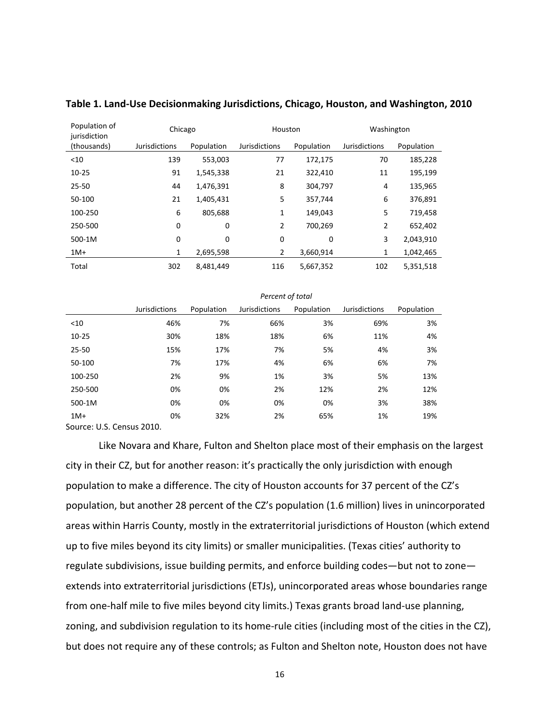| Population of<br>jurisdiction | Chicago              |            | Houston              |            | Washington    |            |
|-------------------------------|----------------------|------------|----------------------|------------|---------------|------------|
| (thousands)                   | <b>Jurisdictions</b> | Population | <b>Jurisdictions</b> | Population | Jurisdictions | Population |
| $<$ 10                        | 139                  | 553,003    | 77                   | 172,175    | 70            | 185,228    |
| $10 - 25$                     | 91                   | 1,545,338  | 21                   | 322,410    | 11            | 195,199    |
| $25 - 50$                     | 44                   | 1,476,391  | 8                    | 304,797    | 4             | 135,965    |
| 50-100                        | 21                   | 1,405,431  | 5                    | 357,744    | 6             | 376,891    |
| 100-250                       | 6                    | 805,688    | 1                    | 149,043    | 5             | 719,458    |
| 250-500                       | 0                    | 0          | $\overline{2}$       | 700,269    | 2             | 652,402    |
| 500-1M                        | 0                    | 0          | 0                    | 0          | 3             | 2,043,910  |
| $1M+$                         | 1                    | 2,695,598  | $\overline{2}$       | 3,660,914  | 1             | 1,042,465  |
| Total                         | 302                  | 8,481,449  | 116                  | 5,667,352  | 102           | 5,351,518  |

#### **Table 1. Land-Use Decisionmaking Jurisdictions, Chicago, Houston, and Washington, 2010**

|                         | . <del>.</del>       |            |               |            |                      |            |  |  |
|-------------------------|----------------------|------------|---------------|------------|----------------------|------------|--|--|
|                         | <b>Jurisdictions</b> | Population | Jurisdictions | Population | <b>Jurisdictions</b> | Population |  |  |
| $<$ 10                  | 46%                  | 7%         | 66%           | 3%         | 69%                  | 3%         |  |  |
| $10 - 25$               | 30%                  | 18%        | 18%           | 6%         | 11%                  | 4%         |  |  |
| 25-50                   | 15%                  | 17%        | 7%            | 5%         | 4%                   | 3%         |  |  |
| 50-100                  | 7%                   | 17%        | 4%            | 6%         | 6%                   | 7%         |  |  |
| 100-250                 | 2%                   | 9%         | 1%            | 3%         | 5%                   | 13%        |  |  |
| 250-500                 | 0%                   | 0%         | 2%            | 12%        | 2%                   | 12%        |  |  |
| 500-1M                  | 0%                   | 0%         | 0%            | 0%         | 3%                   | 38%        |  |  |
| $1M+$                   | 0%                   | 32%        | 2%            | 65%        | 1%                   | 19%        |  |  |
| SOUTCA' LLS CANSUS 2010 |                      |            |               |            |                      |            |  |  |

*Percent of total*

Source: U.S. Census 2010.

Like Novara and Khare, Fulton and Shelton place most of their emphasis on the largest city in their CZ, but for another reason: it's practically the only jurisdiction with enough population to make a difference. The city of Houston accounts for 37 percent of the CZ's population, but another 28 percent of the CZ's population (1.6 million) lives in unincorporated areas within Harris County, mostly in the extraterritorial jurisdictions of Houston (which extend up to five miles beyond its city limits) or smaller municipalities. (Texas cities' authority to regulate subdivisions, issue building permits, and enforce building codes—but not to zone extends into extraterritorial jurisdictions (ETJs), unincorporated areas whose boundaries range from one-half mile to five miles beyond city limits.) Texas grants broad land-use planning, zoning, and subdivision regulation to its home-rule cities (including most of the cities in the CZ), but does not require any of these controls; as Fulton and Shelton note, Houston does not have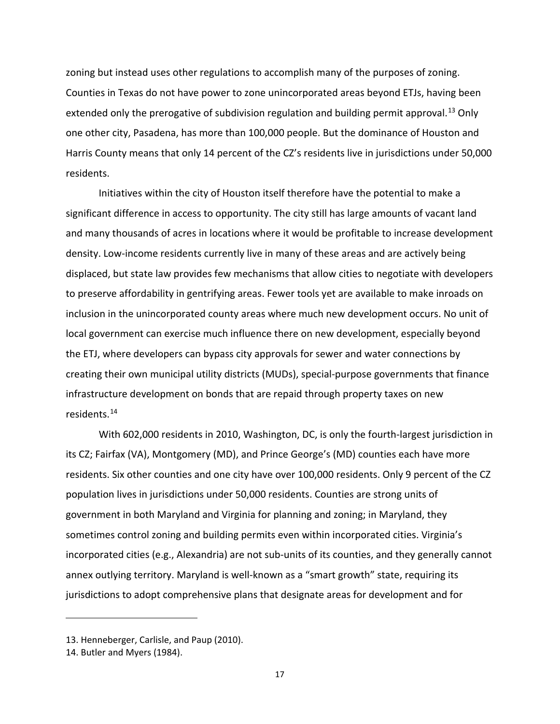zoning but instead uses other regulations to accomplish many of the purposes of zoning. Counties in Texas do not have power to zone unincorporated areas beyond ETJs, having been extended only the prerogative of subdivision regulation and building permit approval.<sup>[13](#page-18-0)</sup> Only one other city, Pasadena, has more than 100,000 people. But the dominance of Houston and Harris County means that only 14 percent of the CZ's residents live in jurisdictions under 50,000 residents.

Initiatives within the city of Houston itself therefore have the potential to make a significant difference in access to opportunity. The city still has large amounts of vacant land and many thousands of acres in locations where it would be profitable to increase development density. Low-income residents currently live in many of these areas and are actively being displaced, but state law provides few mechanisms that allow cities to negotiate with developers to preserve affordability in gentrifying areas. Fewer tools yet are available to make inroads on inclusion in the unincorporated county areas where much new development occurs. No unit of local government can exercise much influence there on new development, especially beyond the ETJ, where developers can bypass city approvals for sewer and water connections by creating their own municipal utility districts (MUDs), special-purpose governments that finance infrastructure development on bonds that are repaid through property taxes on new residents. [14](#page-18-1)

With 602,000 residents in 2010, Washington, DC, is only the fourth-largest jurisdiction in its CZ; Fairfax (VA), Montgomery (MD), and Prince George's (MD) counties each have more residents. Six other counties and one city have over 100,000 residents. Only 9 percent of the CZ population lives in jurisdictions under 50,000 residents. Counties are strong units of government in both Maryland and Virginia for planning and zoning; in Maryland, they sometimes control zoning and building permits even within incorporated cities. Virginia's incorporated cities (e.g., Alexandria) are not sub-units of its counties, and they generally cannot annex outlying territory. Maryland is well-known as a "smart growth" state, requiring its jurisdictions to adopt comprehensive plans that designate areas for development and for

<span id="page-18-0"></span><sup>13.</sup> Henneberger, Carlisle, and Paup (2010).

<span id="page-18-1"></span><sup>14.</sup> Butler and Myers (1984).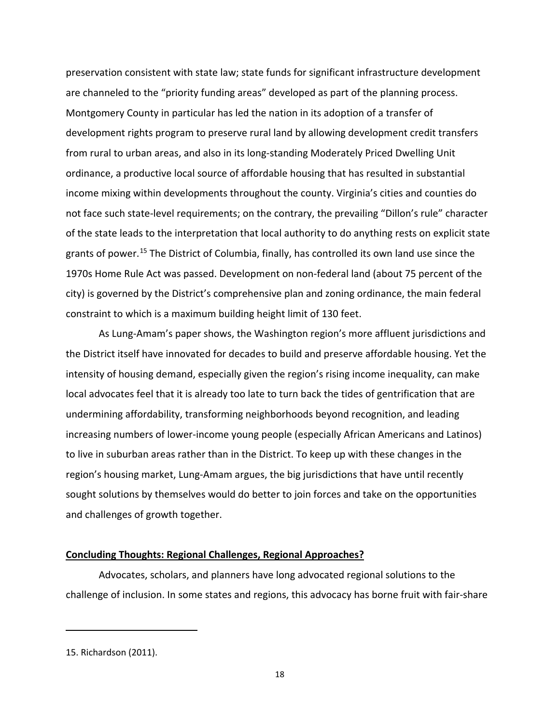preservation consistent with state law; state funds for significant infrastructure development are channeled to the "priority funding areas" developed as part of the planning process. Montgomery County in particular has led the nation in its adoption of a transfer of development rights program to preserve rural land by allowing development credit transfers from rural to urban areas, and also in its long-standing Moderately Priced Dwelling Unit ordinance, a productive local source of affordable housing that has resulted in substantial income mixing within developments throughout the county. Virginia's cities and counties do not face such state-level requirements; on the contrary, the prevailing "Dillon's rule" character of the state leads to the interpretation that local authority to do anything rests on explicit state grants of power.<sup>[15](#page-19-0)</sup> The District of Columbia, finally, has controlled its own land use since the 1970s Home Rule Act was passed. Development on non-federal land (about 75 percent of the city) is governed by the District's comprehensive plan and zoning ordinance, the main federal constraint to which is a maximum building height limit of 130 feet.

As Lung-Amam's paper shows, the Washington region's more affluent jurisdictions and the District itself have innovated for decades to build and preserve affordable housing. Yet the intensity of housing demand, especially given the region's rising income inequality, can make local advocates feel that it is already too late to turn back the tides of gentrification that are undermining affordability, transforming neighborhoods beyond recognition, and leading increasing numbers of lower-income young people (especially African Americans and Latinos) to live in suburban areas rather than in the District. To keep up with these changes in the region's housing market, Lung-Amam argues, the big jurisdictions that have until recently sought solutions by themselves would do better to join forces and take on the opportunities and challenges of growth together.

#### **Concluding Thoughts: Regional Challenges, Regional Approaches?**

Advocates, scholars, and planners have long advocated regional solutions to the challenge of inclusion. In some states and regions, this advocacy has borne fruit with fair-share

<span id="page-19-0"></span><sup>15.</sup> Richardson (2011).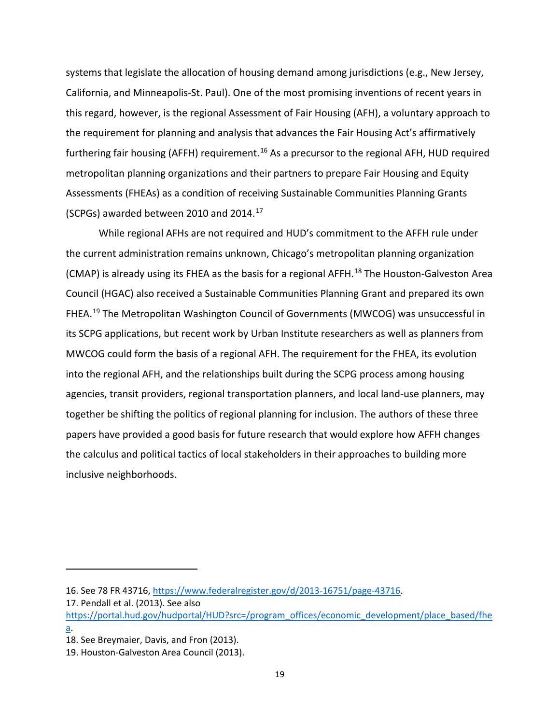systems that legislate the allocation of housing demand among jurisdictions (e.g., New Jersey, California, and Minneapolis-St. Paul). One of the most promising inventions of recent years in this regard, however, is the regional Assessment of Fair Housing (AFH), a voluntary approach to the requirement for planning and analysis that advances the Fair Housing Act's affirmatively furthering fair housing (AFFH) requirement.<sup>[16](#page-20-0)</sup> As a precursor to the regional AFH, HUD required metropolitan planning organizations and their partners to prepare Fair Housing and Equity Assessments (FHEAs) as a condition of receiving Sustainable Communities Planning Grants (SCPGs) awarded between 2010 and 2014. [17](#page-20-1)

While regional AFHs are not required and HUD's commitment to the AFFH rule under the current administration remains unknown, Chicago's metropolitan planning organization (CMAP) is already using its FHEA as the basis for a regional AFFH.[18](#page-20-2) The Houston-Galveston Area Council (HGAC) also received a Sustainable Communities Planning Grant and prepared its own FHEA.<sup>[19](#page-20-3)</sup> The Metropolitan Washington Council of Governments (MWCOG) was unsuccessful in its SCPG applications, but recent work by Urban Institute researchers as well as planners from MWCOG could form the basis of a regional AFH. The requirement for the FHEA, its evolution into the regional AFH, and the relationships built during the SCPG process among housing agencies, transit providers, regional transportation planners, and local land-use planners, may together be shifting the politics of regional planning for inclusion. The authors of these three papers have provided a good basis for future research that would explore how AFFH changes the calculus and political tactics of local stakeholders in their approaches to building more inclusive neighborhoods.

<span id="page-20-0"></span><sup>16.</sup> See 78 FR 43716, [https://www.federalregister.gov/d/2013-16751/page-43716.](https://www.federalregister.gov/d/2013-16751/page-43716)

<span id="page-20-1"></span><sup>17.</sup> Pendall et al. (2013). See also

[https://portal.hud.gov/hudportal/HUD?src=/program\\_offices/economic\\_development/place\\_based/fhe](https://portal.hud.gov/hudportal/HUD?src=/program_offices/economic_development/place_based/fhea) [a.](https://portal.hud.gov/hudportal/HUD?src=/program_offices/economic_development/place_based/fhea)

<span id="page-20-2"></span><sup>18.</sup> See Breymaier, Davis, and Fron (2013).

<span id="page-20-3"></span><sup>19.</sup> Houston-Galveston Area Council (2013).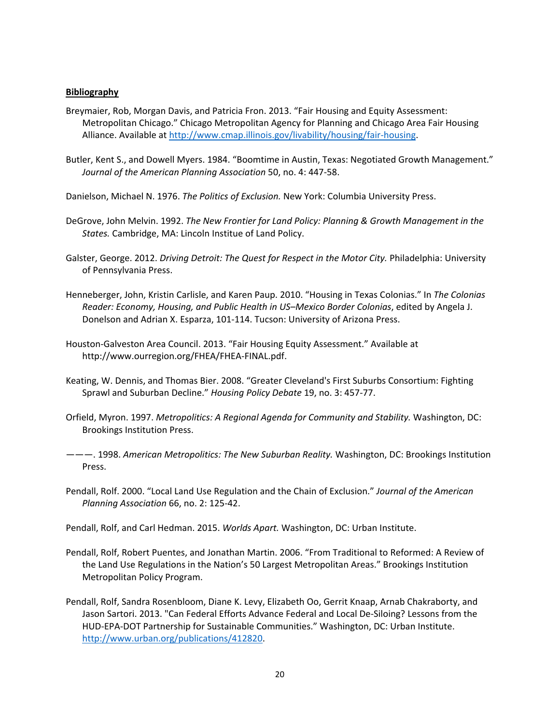#### **Bibliography**

- Breymaier, Rob, Morgan Davis, and Patricia Fron. 2013. "Fair Housing and Equity Assessment: Metropolitan Chicago." Chicago Metropolitan Agency for Planning and Chicago Area Fair Housing Alliance. Available at [http://www.cmap.illinois.gov/livability/housing/fair-housing.](http://www.cmap.illinois.gov/livability/housing/fair-housing)
- Butler, Kent S., and Dowell Myers. 1984. "Boomtime in Austin, Texas: Negotiated Growth Management." *Journal of the American Planning Association* 50, no. 4: 447-58.

Danielson, Michael N. 1976. *The Politics of Exclusion.* New York: Columbia University Press.

- DeGrove, John Melvin. 1992. *The New Frontier for Land Policy: Planning & Growth Management in the States.* Cambridge, MA: Lincoln Institue of Land Policy.
- Galster, George. 2012. *Driving Detroit: The Quest for Respect in the Motor City.* Philadelphia: University of Pennsylvania Press.
- Henneberger, John, Kristin Carlisle, and Karen Paup. 2010. "Housing in Texas Colonias." In *The Colonias Reader: Economy, Housing, and Public Health in US–Mexico Border Colonias*, edited by Angela J. Donelson and Adrian X. Esparza, 101-114. Tucson: University of Arizona Press.
- Houston-Galveston Area Council. 2013. "Fair Housing Equity Assessment." Available at http://www.ourregion.org/FHEA/FHEA-FINAL.pdf.
- Keating, W. Dennis, and Thomas Bier. 2008. "Greater Cleveland's First Suburbs Consortium: Fighting Sprawl and Suburban Decline." *Housing Policy Debate* 19, no. 3: 457-77.
- Orfield, Myron. 1997. *Metropolitics: A Regional Agenda for Community and Stability.* Washington, DC: Brookings Institution Press.
- ———. 1998. *American Metropolitics: The New Suburban Reality.* Washington, DC: Brookings Institution Press.
- Pendall, Rolf. 2000. "Local Land Use Regulation and the Chain of Exclusion." *Journal of the American Planning Association* 66, no. 2: 125-42.

Pendall, Rolf, and Carl Hedman. 2015. *Worlds Apart.* Washington, DC: Urban Institute.

- Pendall, Rolf, Robert Puentes, and Jonathan Martin. 2006. "From Traditional to Reformed: A Review of the Land Use Regulations in the Nation's 50 Largest Metropolitan Areas." Brookings Institution Metropolitan Policy Program.
- Pendall, Rolf, Sandra Rosenbloom, Diane K. Levy, Elizabeth Oo, Gerrit Knaap, Arnab Chakraborty, and Jason Sartori. 2013. "Can Federal Efforts Advance Federal and Local De-Siloing? Lessons from the HUD-EPA-DOT Partnership for Sustainable Communities." Washington, DC: Urban Institute. [http://www.urban.org/publications/412820.](http://www.urban.org/publications/412820)